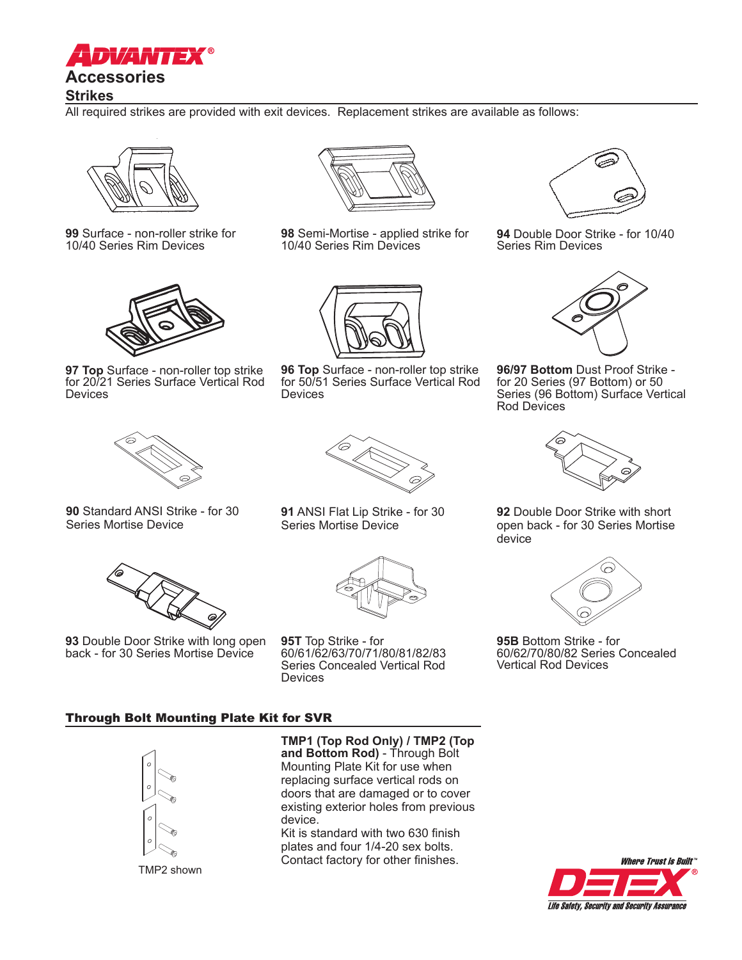

# **Strikes**

All required strikes are provided with exit devices. Replacement strikes are available as follows:



**99** Surface - non-roller strike for 10/40 Series Rim Devices



**97 Top** Surface - non-roller top strike for 20/21 Series Surface Vertical Rod Devices



**98** Semi-Mortise - applied strike for 10/40 Series Rim Devices



**96 Top** Surface - non-roller top strike for 50/51 Series Surface Vertical Rod **Devices** 



**94** Double Door Strike - for 10/40 Series Rim Devices



**96/97 Bottom** Dust Proof Strike for 20 Series (97 Bottom) or 50 Series (96 Bottom) Surface Vertical Rod Devices



**90** Standard ANSI Strike - for 30 Series Mortise Device



**93** Double Door Strike with long open back - for 30 Series Mortise Device



**91** ANSI Flat Lip Strike - for 30 Series Mortise Device



**95T** Top Strike - for 60/61/62/63/70/71/80/81/82/83 Series Concealed Vertical Rod **Devices** 



**92** Double Door Strike with short open back - for 30 Series Mortise device



**95B** Bottom Strike - for 60/62/70/80/82 Series Concealed Vertical Rod Devices

## Through Bolt Mounting Plate Kit for SVR



TMP2 shown

**TMP1 (Top Rod Only) / TMP2 (Top and Bottom Rod)** - Through Bolt Mounting Plate Kit for use when replacing surface vertical rods on doors that are damaged or to cover existing exterior holes from previous

device. Kit is standard with two 630 finish plates and four 1/4-20 sex bolts. Contact factory for other finishes.